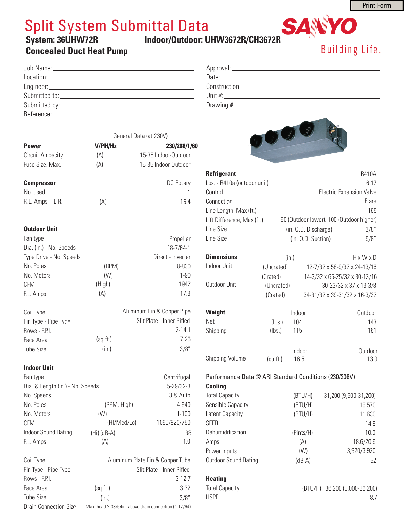8.7

## Split System Submittal Data

### **System: 36UHW72R Indoor/Outdoor: UHW3672R/CH3672R**

HSPF

## **Concealed Duct Heat Pump**

| <b>UIITIUUILIUUILIU</b>               | Building Life. |
|---------------------------------------|----------------|
| Approval: <u>example and a series</u> |                |
|                                       |                |
|                                       |                |
|                                       |                |
|                                       |                |

SAINYO



| <b>Refrigerant</b><br>Lbs. - R410a (outdoor unit) |                                                       |                      | <b>R410A</b><br>6.17                     |  |
|---------------------------------------------------|-------------------------------------------------------|----------------------|------------------------------------------|--|
| Control                                           |                                                       |                      |                                          |  |
|                                                   |                                                       |                      | <b>Electric Expansion Valve</b>          |  |
| Connection                                        |                                                       |                      | Flare                                    |  |
| Line Length, Max (ft.)                            |                                                       |                      | 165                                      |  |
| Lift Difference, Max (ft.)                        |                                                       |                      | 50 (Outdoor lower), 100 (Outdoor higher) |  |
| Line Size                                         |                                                       | (in. O.D. Discharge) | 3/8"                                     |  |
| Line Size                                         |                                                       | (in. O.D. Suction)   | 5/8"                                     |  |
| <b>Dimensions</b>                                 | (in.)                                                 |                      | $H \times W \times D$                    |  |
| <b>Indoor Unit</b>                                | (Uncrated)                                            |                      | 12-7/32 x 58-9/32 x 24-13/16             |  |
|                                                   | (Crated)                                              |                      | 14-3/32 x 65-25/32 x 30-13/16            |  |
| Outdoor Unit                                      | (Uncrated)                                            |                      | 30-23/32 x 37 x 13-3/8                   |  |
|                                                   | (Crated)                                              |                      | 34-31/32 x 39-31/32 x 16-3/32            |  |
| Weight                                            |                                                       | Indoor               | Outdoor                                  |  |
| Net                                               | (lbs.)                                                | 104                  | 143                                      |  |
| Shipping                                          | (lbs.)                                                | 115                  | 161                                      |  |
|                                                   |                                                       | Indoor               | Outdoor                                  |  |
| Shipping Volume                                   | (cu.fit.)                                             | 16.5                 | 13.0                                     |  |
|                                                   | Performance Data @ ARI Standard Conditions (230/208V) |                      |                                          |  |
| <b>Cooling</b>                                    |                                                       |                      |                                          |  |
| <b>Total Capacity</b>                             |                                                       | (BTU/H)              | 31,200 (9,500-31,200)                    |  |
| Sensible Capacity                                 |                                                       | (BTU/H)              | 19,570                                   |  |
| Latent Capacity                                   |                                                       | (BTU/H)              | 11,630                                   |  |
| <b>SEER</b>                                       |                                                       |                      | 14.9                                     |  |
| Dehumidification                                  |                                                       | (Pints/H)            | 10.0                                     |  |
| Amps                                              |                                                       | (A)                  | 18.6/20.6                                |  |
| Power Inputs                                      |                                                       | (W)                  | 3,920/3,920                              |  |
| <b>Outdoor Sound Rating</b>                       |                                                       | $(dB-A)$             | 52                                       |  |
| <b>Heating</b>                                    |                                                       |                      |                                          |  |
| <b>Total Capacity</b>                             |                                                       | (BTU/H)              | 36,200 (8,000-36,200)                    |  |

|                                  | General Data (at 230V)     |                      |  |  |
|----------------------------------|----------------------------|----------------------|--|--|
| <b>Power</b>                     | V/PH/Hz                    | 230/208/1/60         |  |  |
| <b>Circuit Ampacity</b>          | (A)                        | 15-35 Indoor-Outdoor |  |  |
| Fuse Size, Max.                  | (A)                        | 15-35 Indoor-Outdoor |  |  |
|                                  |                            |                      |  |  |
| <b>Compressor</b>                |                            | DC Rotary            |  |  |
| No. used                         |                            | 1                    |  |  |
| R.L. Amps - L.R.                 | (A)                        | 164                  |  |  |
| <b>Outdoor Unit</b>              |                            |                      |  |  |
| Fan type                         |                            | Propeller            |  |  |
| Dia. (in.) - No. Speeds          |                            | 18-7/64-1            |  |  |
| Type Drive - No. Speeds          |                            | Direct - Inverter    |  |  |
| No. Poles                        | (RPM)                      | 8-830                |  |  |
| No. Motors                       | (W)                        | $1 - 90$             |  |  |
| <b>CFM</b>                       | (High)                     | 1942                 |  |  |
| F.L. Amps                        | (A)                        | 17.3                 |  |  |
| Coil Type                        | Aluminum Fin & Copper Pipe |                      |  |  |
| Fin Type - Pipe Type             | Slit Plate - Inner Rifled  |                      |  |  |
| Rows - F.P.I.                    |                            | $2 - 14.1$           |  |  |
| Face Area                        | (sq.fr.)                   | 7.26                 |  |  |
| <b>Tube Size</b>                 | (in.)                      | 3/8"                 |  |  |
| <b>Indoor Unit</b>               |                            |                      |  |  |
| Fan type                         |                            | Centrifugal          |  |  |
| Dia. & Length (in.) - No. Speeds |                            | $5 - 29 / 32 - 3$    |  |  |
| No. Speeds                       |                            | 3 & Auto             |  |  |
| No. Poles                        | (RPM, High)                | 4-940                |  |  |
| No. Motors                       | (W)                        | $1 - 100$            |  |  |
| <b>CFM</b>                       | (HI/Med/Lo)                | 1060/920/750         |  |  |

| Indoor Sound Rating          | $(Hi)$ (dB-A)                                         | 38                               |  |  |
|------------------------------|-------------------------------------------------------|----------------------------------|--|--|
| F.L. Amps                    | (A)                                                   | 1.0                              |  |  |
| Coil Type                    |                                                       | Aluminum Plate Fin & Copper Tube |  |  |
| Fin Type - Pipe Type         | Slit Plate - Inner Rifled                             |                                  |  |  |
| Rows - F.P.I.                |                                                       | $3-12.7$                         |  |  |
| Face Area                    | (sq.fr.)                                              | 3.32                             |  |  |
| <b>Tube Size</b>             | (in.)                                                 | 3/8"                             |  |  |
| <b>Drain Connection Size</b> | Max. head 2-33/64in. above drain connection (1-17/64) |                                  |  |  |